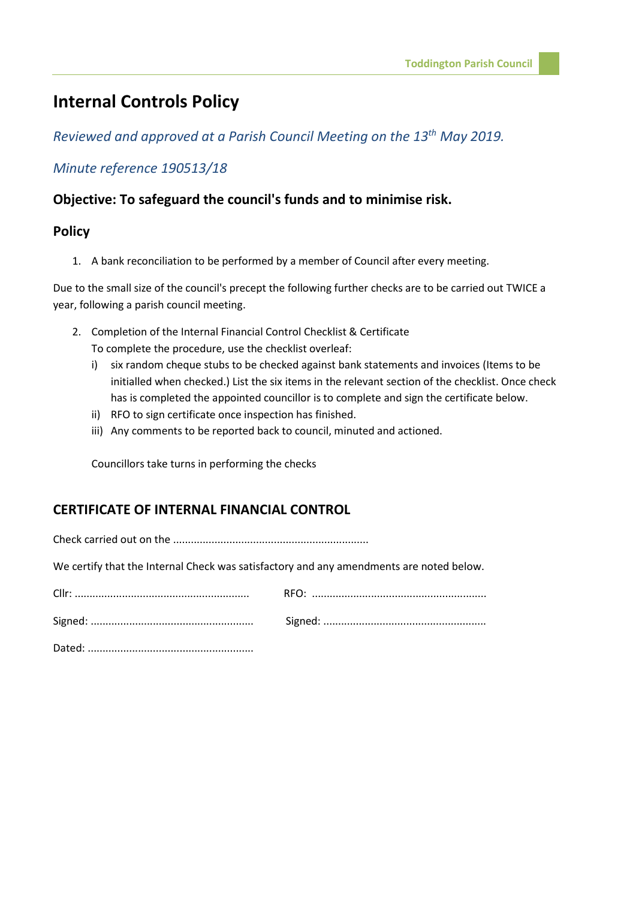# **Internal Controls Policy**

*Reviewed and approved at a Parish Council Meeting on the 13th May 2019.*

## *Minute reference 190513/18*

#### **Objective: To safeguard the council's funds and to minimise risk.**

#### **Policy**

1. A bank reconciliation to be performed by a member of Council after every meeting.

Due to the small size of the council's precept the following further checks are to be carried out TWICE a year, following a parish council meeting.

- 2. Completion of the Internal Financial Control Checklist & Certificate To complete the procedure, use the checklist overleaf:
	- i) six random cheque stubs to be checked against bank statements and invoices (Items to be initialled when checked.) List the six items in the relevant section of the checklist. Once check has is completed the appointed councillor is to complete and sign the certificate below.
	- ii) RFO to sign certificate once inspection has finished.
	- iii) Any comments to be reported back to council, minuted and actioned.

Councillors take turns in performing the checks

### **CERTIFICATE OF INTERNAL FINANCIAL CONTROL**

Check carried out on the ..................................................................

We certify that the Internal Check was satisfactory and any amendments are noted below.

Dated: ........................................................